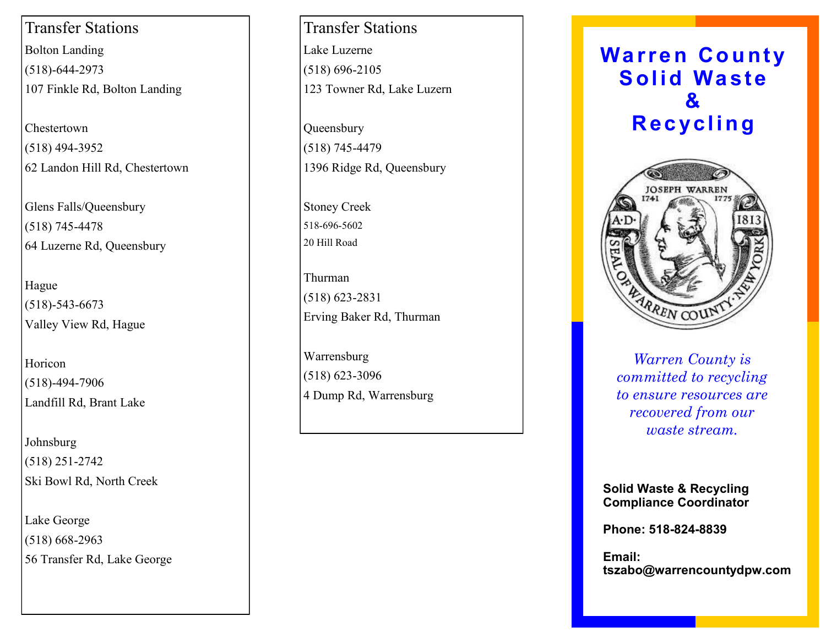Transfer Stations Bolton Landing (518) -644 -2973 107 Finkle Rd, Bolton Landing

Chestertown (518) 494 -3952 62 Landon Hill Rd, Chestertown

Glens Falls/Queensbury (518) 745 -4478 64 Luzerne Rd, Queensbury

Hague (518) -543 -6673 Valley View Rd, Hague

Horicon (518) -494 -7906 Landfill Rd, Brant Lake

Johnsburg (518) 251 -2742 Ski Bowl Rd, North Creek

Lake George (518) 668 -2963 56 Transfer Rd, Lake George

Transfer Stations Lake Luzerne (518) 696 -2105 123 Towner Rd, Lake Luzern

Queensbury (518) 745 -4479 1396 Ridge Rd, Queensbury

Stoney Creek 518 -696 -5602 20 Hill Road

Thurman (518) 623 -2831 Erving Baker Rd, Thurman

Warrensburg (518) 623 -3096 4 Dump Rd, Warrensburg





*Business Tagline or Motto to ensure resources are Warren County is committed to recycling recovered from our waste stream.*

**Solid Waste & Recycling Compliance Coordinator**

**Phone: 518 -824 -8839**

**Email: tszabo@warrencountydpw.com**